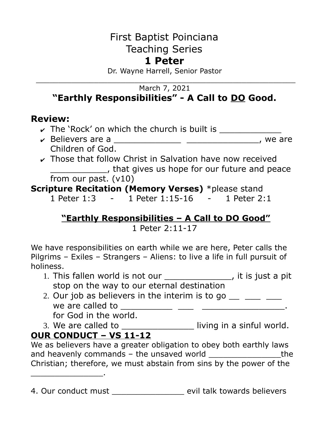# First Baptist Poinciana Teaching Series

# **1 Peter**

Dr. Wayne Harrell, Senior Pastor \_\_\_\_\_\_\_\_\_\_\_\_\_\_\_\_\_\_\_\_\_\_\_\_\_\_\_\_\_\_\_\_\_\_\_\_\_\_\_\_\_\_\_\_\_\_\_\_\_\_\_\_\_\_\_\_\_\_

#### March 7, 2021 **"Earthly Responsibilities" - A Call to DO Good.**

## **Review:**

- $\triangleright$  The 'Rock' on which the church is built is  $\frac{1}{\cdot}$
- ✔ Believers are a \_\_\_\_\_\_\_\_\_\_\_\_\_ \_\_\_\_\_\_\_\_\_\_\_\_\_\_, we are Children of God.
- $\sim$  Those that follow Christ in Salvation have now received **EXECUTE:** That gives us hope for our future and peace from our past. (v10)

### **Scripture Recitation (Memory Verses)** \*please stand

1 Peter 1:3 - 1 Peter 1:15-16 - 1 Peter 2:1

## **"Earthly Responsibilities – A Call to DO Good"**

1 Peter 2:11-17

We have responsibilities on earth while we are here, Peter calls the Pilgrims – Exiles – Strangers – Aliens: to live a life in full pursuit of holiness.

- 1. This fallen world is not our \_\_\_\_\_\_\_\_\_\_\_\_\_, it is just a pit stop on the way to our eternal destination
- 2. Our job as believers in the interim is to go  $\frac{1}{\sqrt{2}}$ we are called to \_\_\_\_\_\_\_\_\_\_ \_\_\_ \_\_\_\_\_\_\_\_\_\_\_\_\_\_\_\_. for God in the world.
- 3. We are called to \_\_\_\_\_\_\_\_\_\_\_\_\_\_\_\_\_\_\_ living in a sinful world.

# **OUR CONDUCT – VS 11-12**

\_\_\_\_\_\_\_\_\_\_\_\_\_\_\_.

We as believers have a greater obligation to obey both earthly laws and heavenly commands  $-$  the unsaved world  $\Box$ Christian; therefore, we must abstain from sins by the power of the

4. Our conduct must evil talk towards believers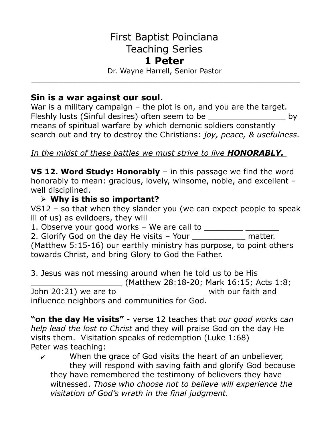# First Baptist Poinciana Teaching Series

#### **1 Peter**

Dr. Wayne Harrell, Senior Pastor \_\_\_\_\_\_\_\_\_\_\_\_\_\_\_\_\_\_\_\_\_\_\_\_\_\_\_\_\_\_\_\_\_\_\_\_\_\_\_\_\_\_\_\_\_\_\_\_\_\_\_\_\_\_\_\_\_\_\_\_

#### **Sin is a war against our soul.**

War is a military campaign – the plot is on, and you are the target. Fleshly lusts (Sinful desires) often seem to be \_\_\_\_\_\_\_\_\_\_\_\_\_\_\_\_\_\_\_\_ by means of spiritual warfare by which demonic soldiers constantly search out and try to destroy the Christians: *joy, peace, & usefulness.*

#### *In the midst of these battles we must strive to live HONORABLY.*

**VS 12. Word Study: Honorably** – in this passage we find the word honorably to mean: gracious, lovely, winsome, noble, and excellent – well disciplined.

#### ➢ **Why is this so important?**

VS12 – so that when they slander you (we can expect people to speak ill of us) as evildoers, they will

1. Observe your good works – We are call to  $\frac{1}{\sqrt{1-\frac{1}{n}}}\frac{1}{\sqrt{1-\frac{1}{n}}}\frac{1}{\sqrt{1-\frac{1}{n}}}\frac{1}{\sqrt{1-\frac{1}{n}}}\frac{1}{\sqrt{1-\frac{1}{n}}}\frac{1}{\sqrt{1-\frac{1}{n}}}\frac{1}{\sqrt{1-\frac{1}{n}}}\frac{1}{\sqrt{1-\frac{1}{n}}}\frac{1}{\sqrt{1-\frac{1}{n}}}\frac{1}{\sqrt{1-\frac{1}{n}}}\frac{1}{\sqrt{1-\frac{1}{n}}$ 

2. Glorify God on the day He visits - Your \_\_\_\_\_\_\_\_\_\_\_\_\_ matter.

(Matthew 5:15-16) our earthly ministry has purpose, to point others towards Christ, and bring Glory to God the Father.

3. Jesus was not messing around when he told us to be His \_\_\_\_\_\_\_\_\_\_\_\_\_\_\_\_\_\_\_ (Matthew 28:18-20; Mark 16:15; Acts 1:8; John 20:21) we are to  $\frac{1}{\sqrt{2\pi}}$  \_\_\_\_\_\_\_\_\_\_\_\_\_\_\_\_\_\_\_ with our faith and influence neighbors and communities for God.

**"on the day He visits"** - verse 12 teaches that *our good works can help lead the lost to Christ* and they will praise God on the day He visits them. Visitation speaks of redemption (Luke 1:68) Peter was teaching:

 $\mathbf v$  When the grace of God visits the heart of an unbeliever, they will respond with saving faith and glorify God because they have remembered the testimony of believers they have witnessed. *Those who choose not to believe will experience the visitation of God's wrath in the final judgment.*